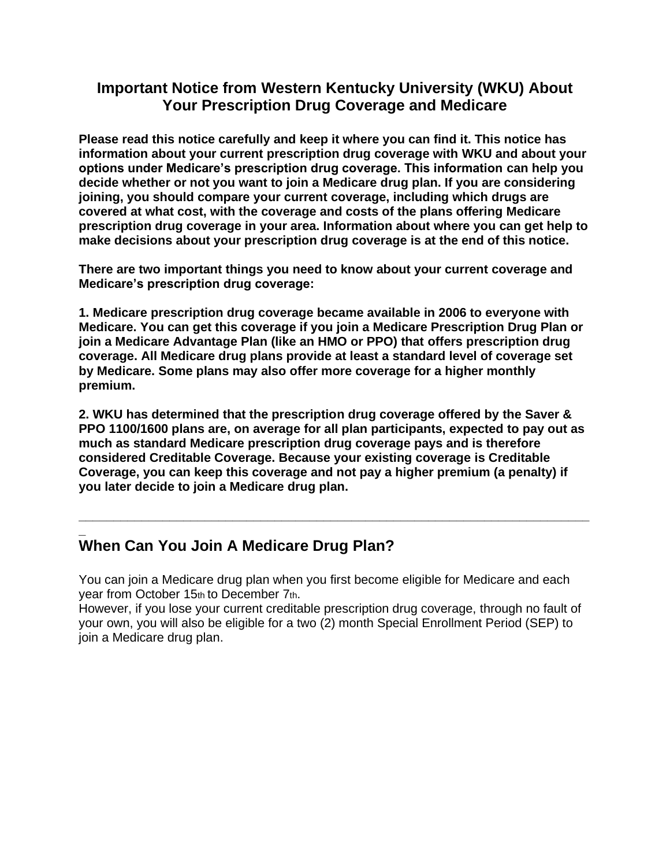#### **Important Notice from Western Kentucky University (WKU) About Your Prescription Drug Coverage and Medicare**

**Please read this notice carefully and keep it where you can find it. This notice has information about your current prescription drug coverage with WKU and about your options under Medicare's prescription drug coverage. This information can help you decide whether or not you want to join a Medicare drug plan. If you are considering joining, you should compare your current coverage, including which drugs are covered at what cost, with the coverage and costs of the plans offering Medicare prescription drug coverage in your area. Information about where you can get help to make decisions about your prescription drug coverage is at the end of this notice.** 

**There are two important things you need to know about your current coverage and Medicare's prescription drug coverage:** 

**1. Medicare prescription drug coverage became available in 2006 to everyone with Medicare. You can get this coverage if you join a Medicare Prescription Drug Plan or join a Medicare Advantage Plan (like an HMO or PPO) that offers prescription drug coverage. All Medicare drug plans provide at least a standard level of coverage set by Medicare. Some plans may also offer more coverage for a higher monthly premium.** 

**2. WKU has determined that the prescription drug coverage offered by the Saver & PPO 1100/1600 plans are, on average for all plan participants, expected to pay out as much as standard Medicare prescription drug coverage pays and is therefore considered Creditable Coverage. Because your existing coverage is Creditable Coverage, you can keep this coverage and not pay a higher premium (a penalty) if you later decide to join a Medicare drug plan.** 

**\_\_\_\_\_\_\_\_\_\_\_\_\_\_\_\_\_\_\_\_\_\_\_\_\_\_\_\_\_\_\_\_\_\_\_\_\_\_\_\_\_\_\_\_\_\_\_\_\_\_\_\_\_\_\_\_\_\_\_\_\_\_\_\_\_\_\_\_\_\_\_\_\_**

#### **\_ When Can You Join A Medicare Drug Plan?**

You can join a Medicare drug plan when you first become eligible for Medicare and each year from October 15th to December 7th.

However, if you lose your current creditable prescription drug coverage, through no fault of your own, you will also be eligible for a two (2) month Special Enrollment Period (SEP) to join a Medicare drug plan.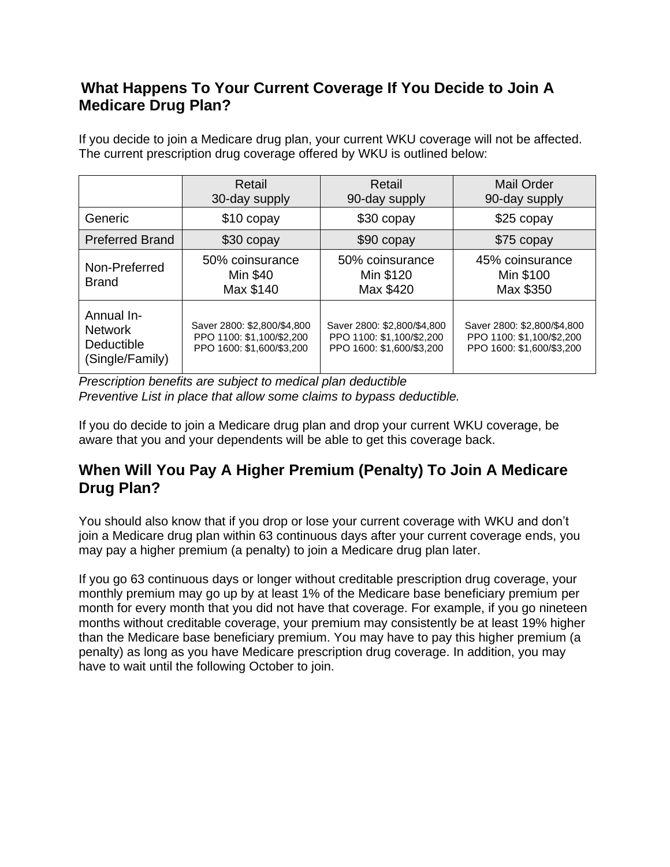## **What Happens To Your Current Coverage If You Decide to Join A Medicare Drug Plan?**

If you decide to join a Medicare drug plan, your current WKU coverage will not be affected. The current prescription drug coverage offered by WKU is outlined below:

|                                                               | Retail<br>30-day supply                                                               | Retail<br>90-day supply                                                               | <b>Mail Order</b><br>90-day supply                                                    |
|---------------------------------------------------------------|---------------------------------------------------------------------------------------|---------------------------------------------------------------------------------------|---------------------------------------------------------------------------------------|
| Generic                                                       | \$10 copay                                                                            | \$30 copay                                                                            | \$25 copay                                                                            |
| <b>Preferred Brand</b>                                        | \$30 copay                                                                            | \$90 copay                                                                            | \$75 copay                                                                            |
| Non-Preferred<br><b>Brand</b>                                 | 50% coinsurance<br>Min \$40<br>Max \$140                                              | 50% coinsurance<br>Min \$120<br>Max \$420                                             | 45% coinsurance<br>Min \$100<br>Max \$350                                             |
| Annual In-<br><b>Network</b><br>Deductible<br>(Single/Family) | Saver 2800: \$2,800/\$4,800<br>PPO 1100: \$1,100/\$2,200<br>PPO 1600: \$1,600/\$3,200 | Saver 2800: \$2,800/\$4,800<br>PPO 1100: \$1.100/\$2.200<br>PPO 1600: \$1,600/\$3,200 | Saver 2800: \$2,800/\$4,800<br>PPO 1100: \$1,100/\$2,200<br>PPO 1600: \$1,600/\$3,200 |

*Prescription benefits are subject to medical plan deductible Preventive List in place that allow some claims to bypass deductible.*

If you do decide to join a Medicare drug plan and drop your current WKU coverage, be aware that you and your dependents will be able to get this coverage back.

## **When Will You Pay A Higher Premium (Penalty) To Join A Medicare Drug Plan?**

You should also know that if you drop or lose your current coverage with WKU and don't join a Medicare drug plan within 63 continuous days after your current coverage ends, you may pay a higher premium (a penalty) to join a Medicare drug plan later.

If you go 63 continuous days or longer without creditable prescription drug coverage, your monthly premium may go up by at least 1% of the Medicare base beneficiary premium per month for every month that you did not have that coverage. For example, if you go nineteen months without creditable coverage, your premium may consistently be at least 19% higher than the Medicare base beneficiary premium. You may have to pay this higher premium (a penalty) as long as you have Medicare prescription drug coverage. In addition, you may have to wait until the following October to join.